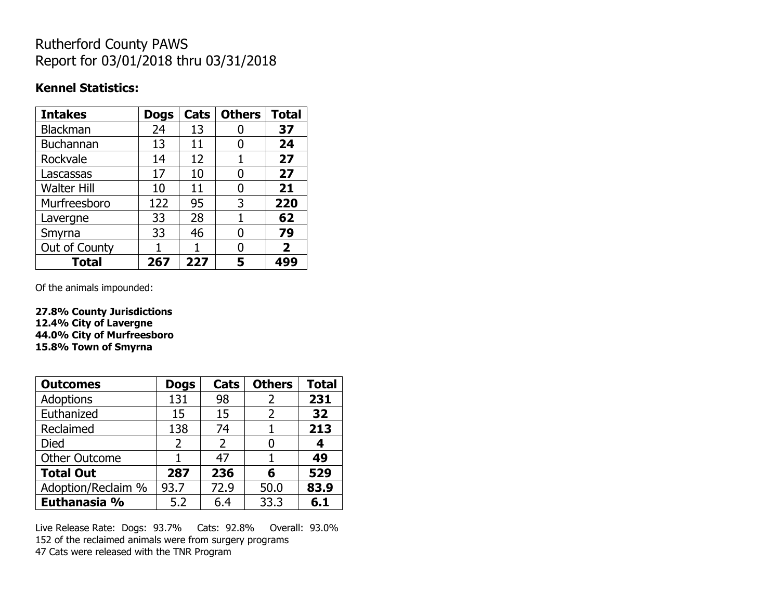## Rutherford County PAWS Report for 03/01/2018 thru 03/31/2018

#### **Kennel Statistics:**

| <b>Intakes</b>     | <b>Dogs</b> | Cats | <b>Others</b> | <b>Total</b>   |
|--------------------|-------------|------|---------------|----------------|
| <b>Blackman</b>    | 24          | 13   |               | 37             |
| Buchannan          | 13          | 11   | 0             | 24             |
| Rockvale           | 14          | 12   | 1             | 27             |
| Lascassas          | 17          | 10   | 0             | 27             |
| <b>Walter Hill</b> | 10          | 11   | 0             | 21             |
| Murfreesboro       | 122         | 95   | 3             | 220            |
| Lavergne           | 33          | 28   | 1             | 62             |
| Smyrna             | 33          | 46   | N             | 79             |
| Out of County      |             | 1    | O             | $\overline{2}$ |
| <b>Total</b>       | 267         | 227  | 5             | 499            |

Of the animals impounded:

**27.8% County Jurisdictions 12.4% City of Lavergne 44.0% City of Murfreesboro 15.8% Town of Smyrna**

| <b>Outcomes</b>      | <b>Dogs</b>    | Cats           | <b>Others</b> | <b>Total</b> |
|----------------------|----------------|----------------|---------------|--------------|
| Adoptions            | 131            | 98             | 2             | 231          |
| Euthanized           | 15             | 15             | 2             | 32           |
| Reclaimed            | 138            | 74             |               | 213          |
| Died                 | $\overline{2}$ | $\overline{2}$ |               | 4            |
| <b>Other Outcome</b> |                | 47             |               | 49           |
| <b>Total Out</b>     | 287            | 236            | 6             | 529          |
| Adoption/Reclaim %   | 93.7           | 72.9           | 50.0          | 83.9         |
| Euthanasia %         | 5.2            | 6.4            | 33.3          | 6.1          |

Live Release Rate: Dogs: 93.7% Cats: 92.8% Overall: 93.0% 152 of the reclaimed animals were from surgery programs 47 Cats were released with the TNR Program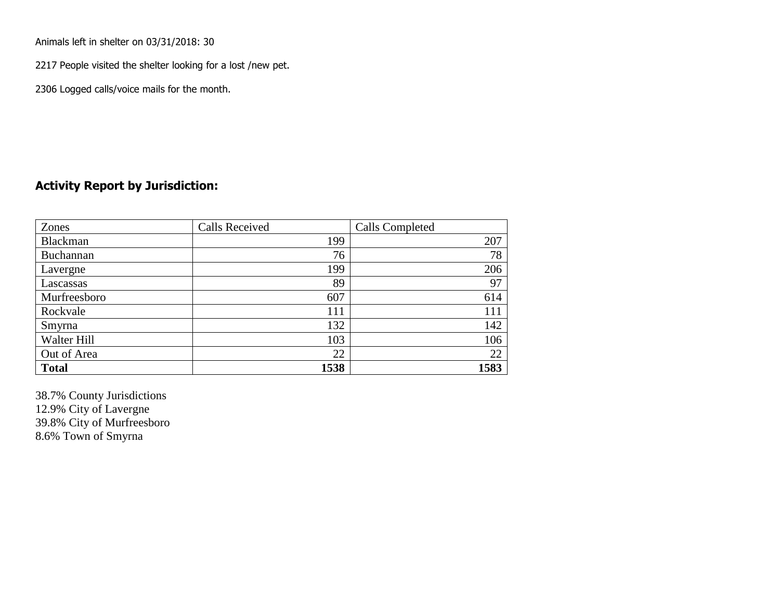Animals left in shelter on 03/31/2018: 30

2217 People visited the shelter looking for a lost /new pet.

2306 Logged calls/voice mails for the month.

### **Activity Report by Jurisdiction:**

| Zones           | <b>Calls Received</b> | Calls Completed |
|-----------------|-----------------------|-----------------|
| <b>Blackman</b> | 199                   | 207             |
| Buchannan       | 76                    | 78              |
| Lavergne        | 199                   | 206             |
| Lascassas       | 89                    | 97              |
| Murfreesboro    | 607                   | 614             |
| Rockvale        | 111                   | 111             |
| Smyrna          | 132                   | 142             |
| Walter Hill     | 103                   | 106             |
| Out of Area     | 22                    | 22              |
| <b>Total</b>    | 1538                  | 1583            |

38.7% County Jurisdictions 12.9% City of Lavergne 39.8% City of Murfreesboro 8.6% Town of Smyrna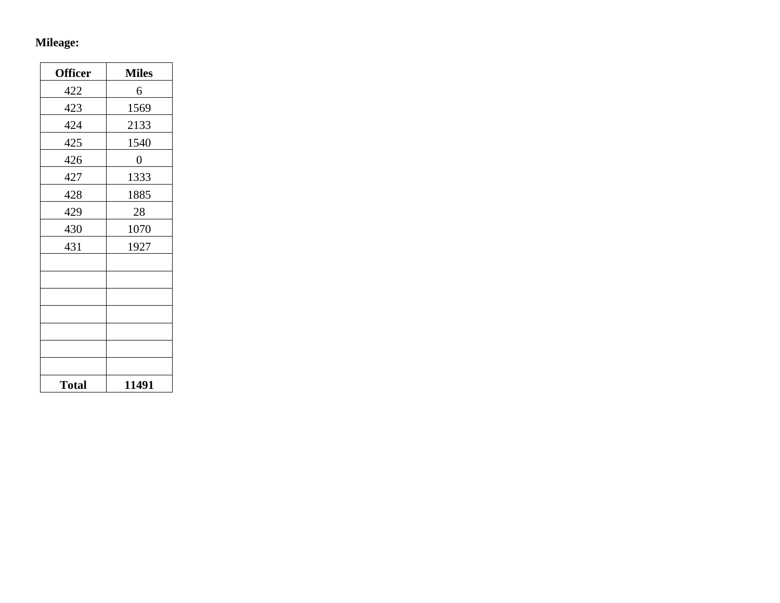## **Mileage:**

| <b>Officer</b> | <b>Miles</b>   |
|----------------|----------------|
| 422            | 6              |
| 423            | 1569           |
| 424            | 2133           |
| 425            | 1540           |
| 426            | $\overline{0}$ |
| 427            | 1333           |
| 428            | 1885           |
| 429            | 28             |
| 430            | 1070           |
| 431            | 1927           |
|                |                |
|                |                |
|                |                |
|                |                |
|                |                |
|                |                |
|                |                |
| <b>Total</b>   | 11491          |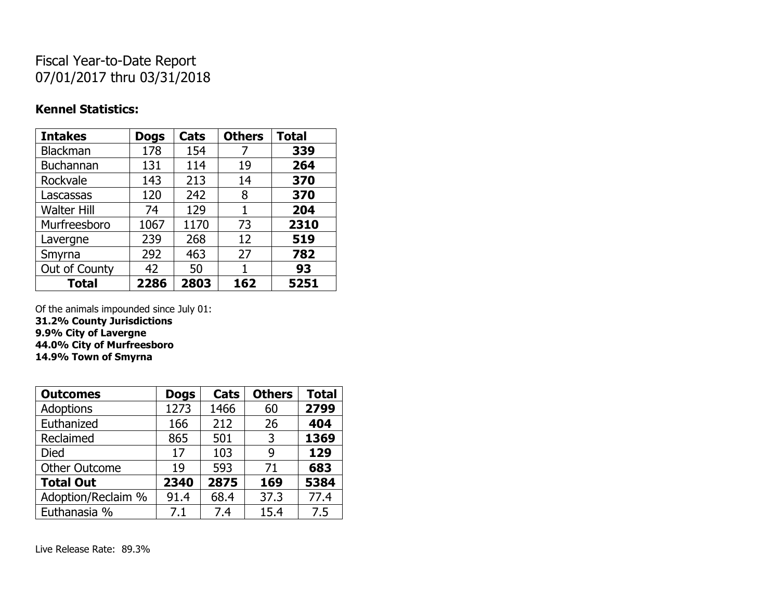# Fiscal Year-to-Date Report 07/01/2017 thru 03/31/2018

### **Kennel Statistics:**

| <b>Intakes</b>     | <b>Dogs</b> | Cats | <b>Others</b> | <b>Total</b> |
|--------------------|-------------|------|---------------|--------------|
| Blackman           | 178         | 154  | 7             | 339          |
| <b>Buchannan</b>   | 131         | 114  | 19            | 264          |
| Rockvale           | 143         | 213  | 14            | 370          |
| Lascassas          | 120         | 242  | 8             | 370          |
| <b>Walter Hill</b> | 74          | 129  | 1             | 204          |
| Murfreesboro       | 1067        | 1170 | 73            | 2310         |
| Lavergne           | 239         | 268  | 12            | 519          |
| Smyrna             | 292         | 463  | 27            | 782          |
| Out of County      | 42          | 50   | 1             | 93           |
| <b>Total</b>       | 2286        | 2803 | 162           | 5251         |

Of the animals impounded since July 01:

**31.2% County Jurisdictions 9.9% City of Lavergne 44.0% City of Murfreesboro**

**14.9% Town of Smyrna**

| <b>Outcomes</b>      | <b>Dogs</b> | Cats | <b>Others</b> | <b>Total</b> |
|----------------------|-------------|------|---------------|--------------|
| <b>Adoptions</b>     | 1273        | 1466 | 60            | 2799         |
| Euthanized           | 166         | 212  | 26            | 404          |
| Reclaimed            | 865         | 501  | 3             | 1369         |
| Died                 | 17          | 103  | 9             | 129          |
| <b>Other Outcome</b> | 19          | 593  | 71            | 683          |
| <b>Total Out</b>     | 2340        | 2875 | 169           | 5384         |
| Adoption/Reclaim %   | 91.4        | 68.4 | 37.3          | 77.4         |
| Euthanasia %         | 7.1         | 7.4  | 15.4          | 7.5          |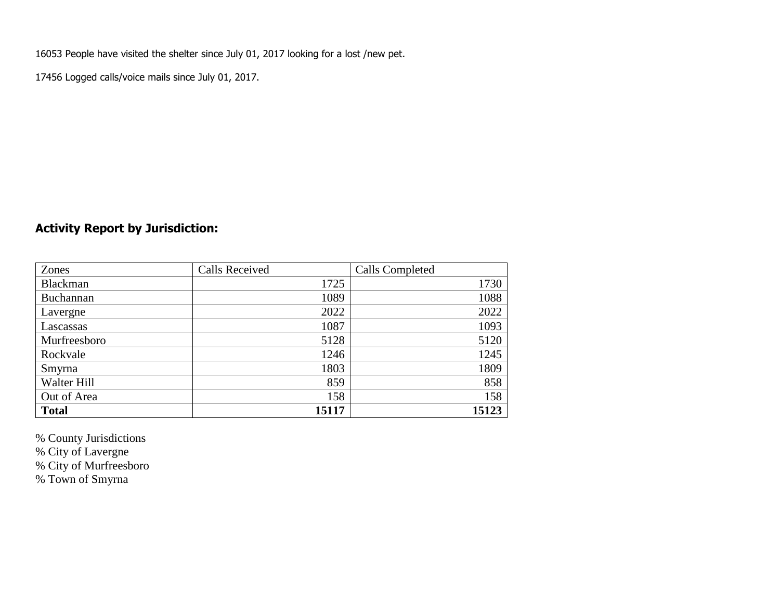16053 People have visited the shelter since July 01, 2017 looking for a lost /new pet.

17456 Logged calls/voice mails since July 01, 2017.

## **Activity Report by Jurisdiction:**

| Zones           | <b>Calls Received</b> | Calls Completed |
|-----------------|-----------------------|-----------------|
| <b>Blackman</b> | 1725                  | 1730            |
| Buchannan       | 1089                  | 1088            |
| Lavergne        | 2022                  | 2022            |
| Lascassas       | 1087                  | 1093            |
| Murfreesboro    | 5128                  | 5120            |
| Rockvale        | 1246                  | 1245            |
| Smyrna          | 1803                  | 1809            |
| Walter Hill     | 859                   | 858             |
| Out of Area     | 158                   | 158             |
| <b>Total</b>    | 15117                 | 15123           |

% County Jurisdictions

% City of Lavergne

% City of Murfreesboro

% Town of Smyrna